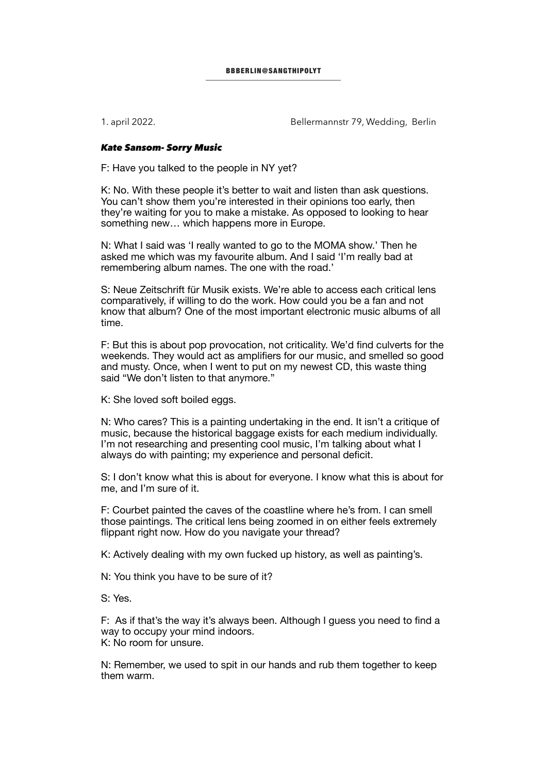1. april 2022. Bellermannstr 79, Wedding, Berlin

## *Kate Sansom- Sorry Music*

F: Have you talked to the people in NY yet?

K: No. With these people it's better to wait and listen than ask questions. You can't show them you're interested in their opinions too early, then they're waiting for you to make a mistake. As opposed to looking to hear something new… which happens more in Europe.

N: What I said was 'I really wanted to go to the MOMA show.' Then he asked me which was my favourite album. And I said 'I'm really bad at remembering album names. The one with the road.'

S: Neue Zeitschrift für Musik exists. We're able to access each critical lens comparatively, if willing to do the work. How could you be a fan and not know that album? One of the most important electronic music albums of all time.

F: But this is about pop provocation, not criticality. We'd find culverts for the weekends. They would act as amplifiers for our music, and smelled so good and musty. Once, when I went to put on my newest CD, this waste thing said "We don't listen to that anymore."

K: She loved soft boiled eggs.

N: Who cares? This is a painting undertaking in the end. It isn't a critique of music, because the historical baggage exists for each medium individually. I'm not researching and presenting cool music, I'm talking about what I always do with painting; my experience and personal deficit.

S: I don't know what this is about for everyone. I know what this is about for me, and I'm sure of it.

F: Courbet painted the caves of the coastline where he's from. I can smell those paintings. The critical lens being zoomed in on either feels extremely flippant right now. How do you navigate your thread?

K: Actively dealing with my own fucked up history, as well as painting's.

N: You think you have to be sure of it?

S: Yes.

F: As if that's the way it's always been. Although I guess you need to find a way to occupy your mind indoors. K: No room for unsure.

N: Remember, we used to spit in our hands and rub them together to keep them warm.